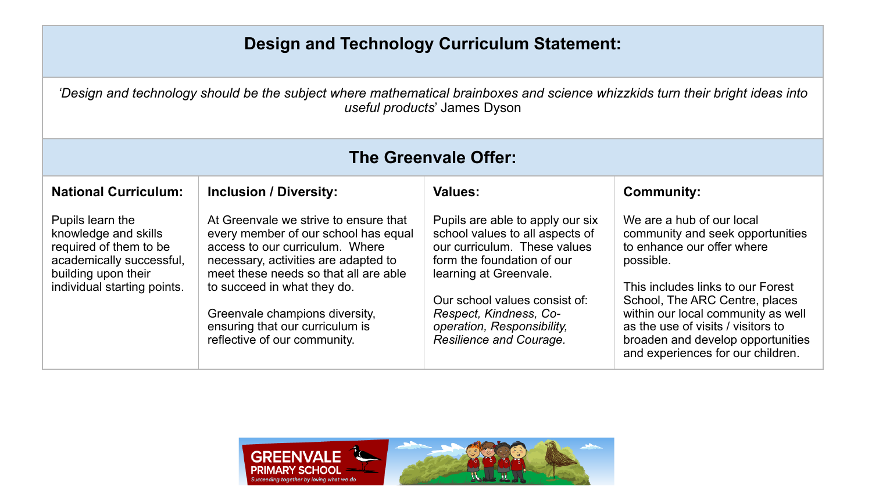## **Design and Technology Curriculum Statement:**

*'Design and technology should be the subject where mathematical brainboxes and science whizzkids turn their bright ideas into* 

| useful products' James Dyson                                                                                                                         |                                                                                                                                                                                                                                                                                                                                       |                                                                                                                                                                                                                                                                                 |                                                                                                                                                                                                                                                                                                                                       |  |
|------------------------------------------------------------------------------------------------------------------------------------------------------|---------------------------------------------------------------------------------------------------------------------------------------------------------------------------------------------------------------------------------------------------------------------------------------------------------------------------------------|---------------------------------------------------------------------------------------------------------------------------------------------------------------------------------------------------------------------------------------------------------------------------------|---------------------------------------------------------------------------------------------------------------------------------------------------------------------------------------------------------------------------------------------------------------------------------------------------------------------------------------|--|
| The Greenvale Offer:                                                                                                                                 |                                                                                                                                                                                                                                                                                                                                       |                                                                                                                                                                                                                                                                                 |                                                                                                                                                                                                                                                                                                                                       |  |
| <b>National Curriculum:</b>                                                                                                                          | <b>Inclusion / Diversity:</b>                                                                                                                                                                                                                                                                                                         | <b>Values:</b>                                                                                                                                                                                                                                                                  | <b>Community:</b>                                                                                                                                                                                                                                                                                                                     |  |
| Pupils learn the<br>knowledge and skills<br>required of them to be<br>academically successful,<br>building upon their<br>individual starting points. | At Greenvale we strive to ensure that<br>every member of our school has equal<br>access to our curriculum. Where<br>necessary, activities are adapted to<br>meet these needs so that all are able<br>to succeed in what they do.<br>Greenvale champions diversity,<br>ensuring that our curriculum is<br>reflective of our community. | Pupils are able to apply our six<br>school values to all aspects of<br>our curriculum. These values<br>form the foundation of our<br>learning at Greenvale.<br>Our school values consist of:<br>Respect, Kindness, Co-<br>operation, Responsibility,<br>Resilience and Courage. | We are a hub of our local<br>community and seek opportunities<br>to enhance our offer where<br>possible.<br>This includes links to our Forest<br>School, The ARC Centre, places<br>within our local community as well<br>as the use of visits / visitors to<br>broaden and develop opportunities<br>and experiences for our children. |  |